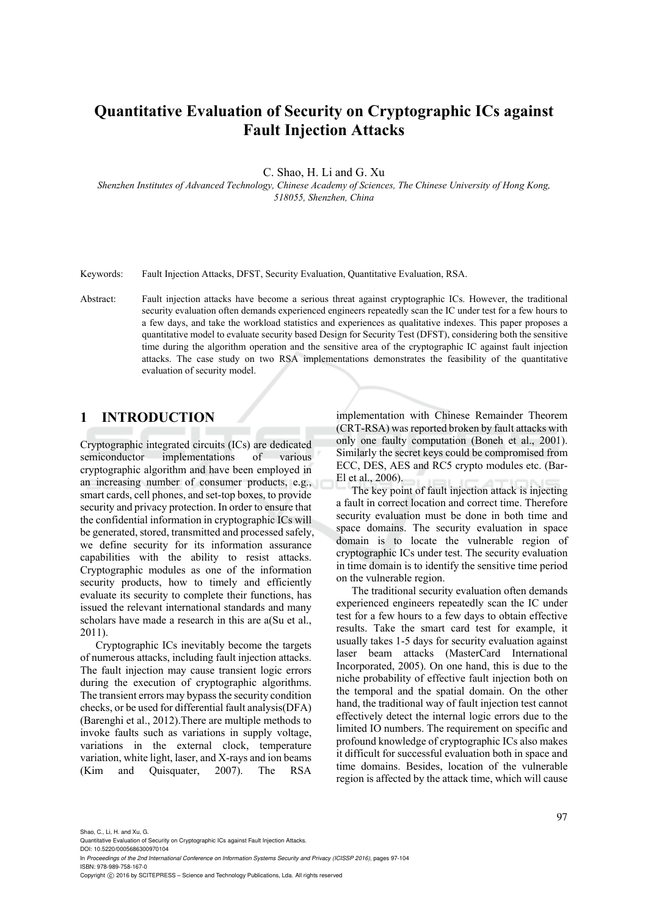# **Quantitative Evaluation of Security on Cryptographic ICs against Fault Injection Attacks**

C. Shao, H. Li and G. Xu

*Shenzhen Institutes of Advanced Technology, Chinese Academy of Sciences, The Chinese University of Hong Kong, 518055, Shenzhen, China* 

Keywords: Fault Injection Attacks, DFST, Security Evaluation, Quantitative Evaluation, RSA.

Abstract: Fault injection attacks have become a serious threat against cryptographic ICs. However, the traditional security evaluation often demands experienced engineers repeatedly scan the IC under test for a few hours to a few days, and take the workload statistics and experiences as qualitative indexes. This paper proposes a quantitative model to evaluate security based Design for Security Test (DFST), considering both the sensitive time during the algorithm operation and the sensitive area of the cryptographic IC against fault injection attacks. The case study on two RSA implementations demonstrates the feasibility of the quantitative evaluation of security model.

# **1 INTRODUCTION**

Cryptographic integrated circuits (ICs) are dedicated semiconductor implementations of various cryptographic algorithm and have been employed in an increasing number of consumer products, e.g., smart cards, cell phones, and set-top boxes, to provide security and privacy protection. In order to ensure that the confidential information in cryptographic ICs will be generated, stored, transmitted and processed safely, we define security for its information assurance capabilities with the ability to resist attacks. Cryptographic modules as one of the information security products, how to timely and efficiently evaluate its security to complete their functions, has issued the relevant international standards and many scholars have made a research in this are a(Su et al., 2011).

Cryptographic ICs inevitably become the targets of numerous attacks, including fault injection attacks. The fault injection may cause transient logic errors during the execution of cryptographic algorithms. The transient errors may bypass the security condition checks, or be used for differential fault analysis(DFA) (Barenghi et al., 2012).There are multiple methods to invoke faults such as variations in supply voltage, variations in the external clock, temperature variation, white light, laser, and X-rays and ion beams (Kim and Quisquater, 2007). The RSA

implementation with Chinese Remainder Theorem (CRT-RSA) was reported broken by fault attacks with only one faulty computation (Boneh et al., 2001). Similarly the secret keys could be compromised from ECC, DES, AES and RC5 crypto modules etc. (Bar-El et al., 2006).

The key point of fault injection attack is injecting a fault in correct location and correct time. Therefore security evaluation must be done in both time and space domains. The security evaluation in space domain is to locate the vulnerable region of cryptographic ICs under test. The security evaluation in time domain is to identify the sensitive time period on the vulnerable region.

The traditional security evaluation often demands experienced engineers repeatedly scan the IC under test for a few hours to a few days to obtain effective results. Take the smart card test for example, it usually takes 1-5 days for security evaluation against laser beam attacks (MasterCard International Incorporated, 2005). On one hand, this is due to the niche probability of effective fault injection both on the temporal and the spatial domain. On the other hand, the traditional way of fault injection test cannot effectively detect the internal logic errors due to the limited IO numbers. The requirement on specific and profound knowledge of cryptographic ICs also makes it difficult for successful evaluation both in space and time domains. Besides, location of the vulnerable region is affected by the attack time, which will cause

Shao, C., Li, H. and Xu, G.

DOI: 10.5220/0005686300970104 In *Proceedings of the 2nd International Conference on Information Systems Security and Privacy (ICISSP 2016)*, pages 97-104 ISBN: 978-989-758-167-0

Copyright © 2016 by SCITEPRESS - Science and Technology Publications, Lda. All rights reserved

Quantitative Evaluation of Security on Cryptographic ICs against Fault Injection Attacks.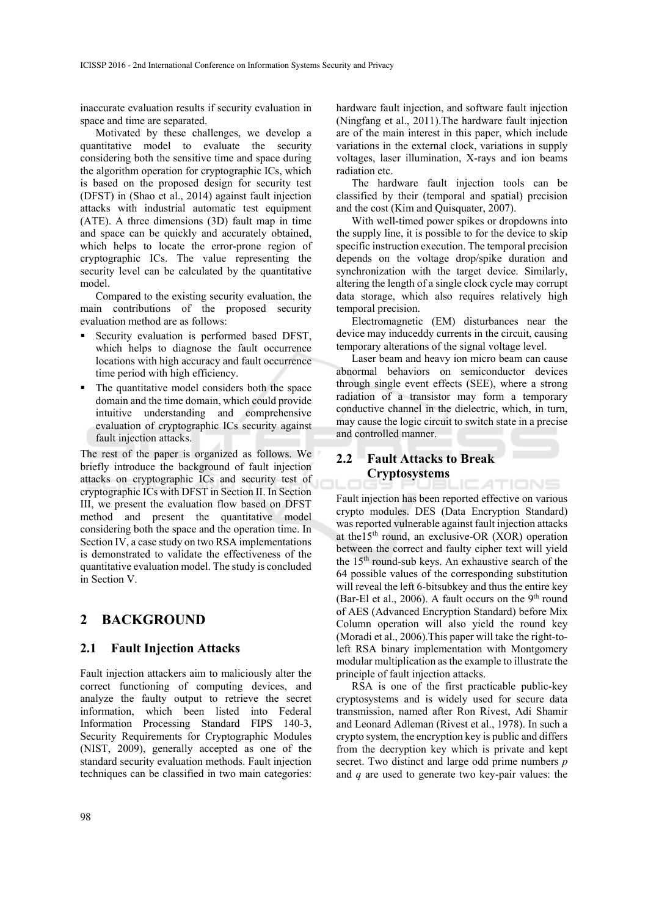inaccurate evaluation results if security evaluation in space and time are separated.

Motivated by these challenges, we develop a quantitative model to evaluate the security considering both the sensitive time and space during the algorithm operation for cryptographic ICs, which is based on the proposed design for security test (DFST) in (Shao et al., 2014) against fault injection attacks with industrial automatic test equipment (ATE). A three dimensions (3D) fault map in time and space can be quickly and accurately obtained, which helps to locate the error-prone region of cryptographic ICs. The value representing the security level can be calculated by the quantitative model.

Compared to the existing security evaluation, the main contributions of the proposed security evaluation method are as follows:

- Security evaluation is performed based DFST, which helps to diagnose the fault occurrence locations with high accuracy and fault occurrence time period with high efficiency.
- The quantitative model considers both the space domain and the time domain, which could provide intuitive understanding and comprehensive evaluation of cryptographic ICs security against fault injection attacks.

The rest of the paper is organized as follows. We briefly introduce the background of fault injection attacks on cryptographic ICs and security test of cryptographic ICs with DFST in Section II. In Section III, we present the evaluation flow based on DFST method and present the quantitative model considering both the space and the operation time. In Section IV, a case study on two RSA implementations is demonstrated to validate the effectiveness of the quantitative evaluation model. The study is concluded in Section V.

## **2 BACKGROUND**

### **2.1 Fault Injection Attacks**

Fault injection attackers aim to maliciously alter the correct functioning of computing devices, and analyze the faulty output to retrieve the secret information, which been listed into Federal Information Processing Standard FIPS 140-3, Security Requirements for Cryptographic Modules (NIST, 2009), generally accepted as one of the standard security evaluation methods. Fault injection techniques can be classified in two main categories:

hardware fault injection, and software fault injection (Ningfang et al., 2011).The hardware fault injection are of the main interest in this paper, which include variations in the external clock, variations in supply voltages, laser illumination, X-rays and ion beams radiation etc.

The hardware fault injection tools can be classified by their (temporal and spatial) precision and the cost (Kim and Quisquater, 2007).

With well-timed power spikes or dropdowns into the supply line, it is possible to for the device to skip specific instruction execution. The temporal precision depends on the voltage drop/spike duration and synchronization with the target device. Similarly, altering the length of a single clock cycle may corrupt data storage, which also requires relatively high temporal precision.

Electromagnetic (EM) disturbances near the device may induceddy currents in the circuit, causing temporary alterations of the signal voltage level.

Laser beam and heavy ion micro beam can cause abnormal behaviors on semiconductor devices through single event effects (SEE), where a strong radiation of a transistor may form a temporary conductive channel in the dielectric, which, in turn, may cause the logic circuit to switch state in a precise and controlled manner.

CATIONS

### **2.2 Fault Attacks to Break Cryptosystems**

Fault injection has been reported effective on various crypto modules. DES (Data Encryption Standard) was reported vulnerable against fault injection attacks at the  $15<sup>th</sup>$  round, an exclusive-OR (XOR) operation between the correct and faulty cipher text will yield the 15th round-sub keys. An exhaustive search of the 64 possible values of the corresponding substitution will reveal the left 6-bitsubkey and thus the entire key (Bar-El et al., 2006). A fault occurs on the  $9<sup>th</sup>$  round of AES (Advanced Encryption Standard) before Mix Column operation will also yield the round key (Moradi et al., 2006).This paper will take the right-toleft RSA binary implementation with Montgomery modular multiplication as the example to illustrate the principle of fault injection attacks.

RSA is one of the first practicable public-key cryptosystems and is widely used for secure data transmission, named after Ron Rivest, Adi Shamir and Leonard Adleman (Rivest et al., 1978). In such a crypto system, the encryption key is public and differs from the decryption key which is private and kept secret. Two distinct and large odd prime numbers *p* and *q* are used to generate two key-pair values: the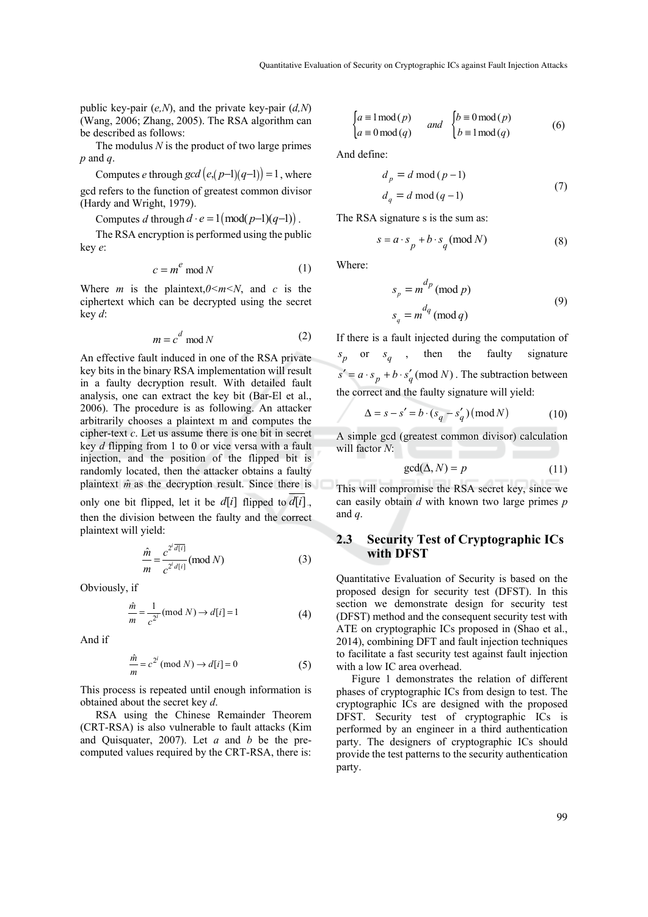public key-pair (*e,N*), and the private key-pair (*d,N*) (Wang, 2006; Zhang, 2005). The RSA algorithm can be described as follows:

The modulus *N* is the product of two large primes *p* and *q*.

Computes *e* through  $gcd(e, (p-1)(q-1)) = 1$ , where gcd refers to the function of greatest common divisor (Hardy and Wright, 1979).

Computes *d* through  $d \cdot e = 1 \pmod{p-1(q-1)}$ .

The RSA encryption is performed using the public key *e*:

$$
c = m^e \bmod N \tag{1}
$$

Where *m* is the plaintext, $0 \le m \le N$ , and *c* is the ciphertext which can be decrypted using the secret key *d*:

$$
m = c^d \mod N \tag{2}
$$

An effective fault induced in one of the RSA private key bits in the binary RSA implementation will result in a faulty decryption result. With detailed fault analysis, one can extract the key bit (Bar-El et al., 2006). The procedure is as following. An attacker arbitrarily chooses a plaintext m and computes the cipher-text *c*. Let us assume there is one bit in secret key *d* flipping from 1 to 0 or vice versa with a fault injection, and the position of the flipped bit is randomly located, then the attacker obtains a faulty plaintext  $\hat{m}$  as the decryption result. Since there is

only one bit flipped, let it be  $d[i]$  flipped to  $d[i]$ , then the division between the faulty and the correct plaintext will yield:

$$
\frac{\hat{m}}{m} = \frac{c^{2^i \overline{d[i]}}}{c^{2^i d[i]}} \text{ (mod } N \text{)}
$$
(3)

Obviously, if

$$
\frac{\hat{m}}{m} = \frac{1}{c^{2^i}} (\text{mod } N) \to d[i] = 1 \tag{4}
$$

And if

$$
\frac{\hat{m}}{m} = c^{2^i} \text{ (mod } N \text{)} \to d[i] = 0 \tag{5}
$$

This process is repeated until enough information is obtained about the secret key *d*.

RSA using the Chinese Remainder Theorem (CRT-RSA) is also vulnerable to fault attacks (Kim and Quisquater, 2007). Let *a* and *b* be the precomputed values required by the CRT-RSA, there is:

$$
\begin{cases} a \equiv 1 \mod(p) \\ a \equiv 0 \mod(q) \end{cases} \quad and \quad \begin{cases} b \equiv 0 \mod(p) \\ b \equiv 1 \mod(q) \end{cases} \tag{6}
$$

And define:

$$
d_p = d \mod (p-1)
$$
  
\n
$$
d_q = d \mod (q-1)
$$
\n(7)

The RSA signature s is the sum as:

$$
s = a \cdot s_p + b \cdot s_q \pmod{N} \tag{8}
$$

Where:

$$
s_p = m^{d_p} \text{ (mod } p)
$$
  
\n
$$
s_q = m^{d_q} \text{ (mod } q)
$$
\n(9)

If there is a fault injected during the computation of  $s_p$  or  $s_q$ , then the faulty signature  $s' = a \cdot s_p + b \cdot s'_q \pmod{N}$ . The subtraction between the correct and the faulty signature will yield:

$$
\Delta = s - s' = b \cdot (s_q - s'_q) \pmod{N} \tag{10}
$$

A simple gcd (greatest common divisor) calculation will factor *N*:

$$
\gcd(\Delta, N) = p \tag{11}
$$

This will compromise the RSA secret key, since we can easily obtain *d* with known two large primes *p* and *q*.

### **2.3 Security Test of Cryptographic ICs with DFST**

Quantitative Evaluation of Security is based on the proposed design for security test (DFST). In this section we demonstrate design for security test (DFST) method and the consequent security test with ATE on cryptographic ICs proposed in (Shao et al., 2014), combining DFT and fault injection techniques to facilitate a fast security test against fault injection with a low IC area overhead.

Figure 1 demonstrates the relation of different phases of cryptographic ICs from design to test. The cryptographic ICs are designed with the proposed DFST. Security test of cryptographic ICs is performed by an engineer in a third authentication party. The designers of cryptographic ICs should provide the test patterns to the security authentication party.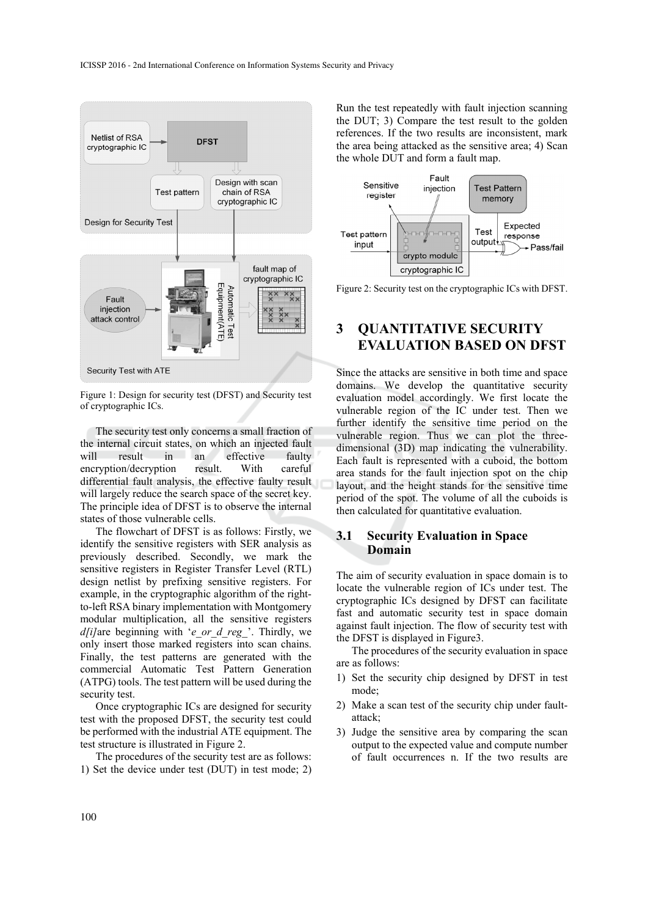

Figure 1: Design for security test (DFST) and Security test of cryptographic ICs.

The security test only concerns a small fraction of the internal circuit states, on which an injected fault will result in an effective faulty encryption/decryption result. With careful differential fault analysis, the effective faulty result will largely reduce the search space of the secret key. The principle idea of DFST is to observe the internal states of those vulnerable cells.

The flowchart of DFST is as follows: Firstly, we identify the sensitive registers with SER analysis as previously described. Secondly, we mark the sensitive registers in Register Transfer Level (RTL) design netlist by prefixing sensitive registers. For example, in the cryptographic algorithm of the rightto-left RSA binary implementation with Montgomery modular multiplication, all the sensitive registers *d*[i]are beginning with '*e\_or\_d\_reg\_*'. Thirdly, we only insert those marked registers into scan chains. Finally, the test patterns are generated with the commercial Automatic Test Pattern Generation (ATPG) tools. The test pattern will be used during the security test.

Once cryptographic ICs are designed for security test with the proposed DFST, the security test could be performed with the industrial ATE equipment. The test structure is illustrated in Figure 2.

The procedures of the security test are as follows: 1) Set the device under test (DUT) in test mode; 2)

Run the test repeatedly with fault injection scanning the DUT; 3) Compare the test result to the golden references. If the two results are inconsistent, mark the area being attacked as the sensitive area; 4) Scan the whole DUT and form a fault map.



Figure 2: Security test on the cryptographic ICs with DFST.

# **3 QUANTITATIVE SECURITY EVALUATION BASED ON DFST**

Since the attacks are sensitive in both time and space domains. We develop the quantitative security evaluation model accordingly. We first locate the vulnerable region of the IC under test. Then we further identify the sensitive time period on the vulnerable region. Thus we can plot the threedimensional (3D) map indicating the vulnerability. Each fault is represented with a cuboid, the bottom area stands for the fault injection spot on the chip layout, and the height stands for the sensitive time period of the spot. The volume of all the cuboids is then calculated for quantitative evaluation.

### **3.1 Security Evaluation in Space Domain**

The aim of security evaluation in space domain is to locate the vulnerable region of ICs under test. The cryptographic ICs designed by DFST can facilitate fast and automatic security test in space domain against fault injection. The flow of security test with the DFST is displayed in Figure3.

The procedures of the security evaluation in space are as follows:

- 1) Set the security chip designed by DFST in test mode;
- 2) Make a scan test of the security chip under faultattack;
- 3) Judge the sensitive area by comparing the scan output to the expected value and compute number of fault occurrences n. If the two results are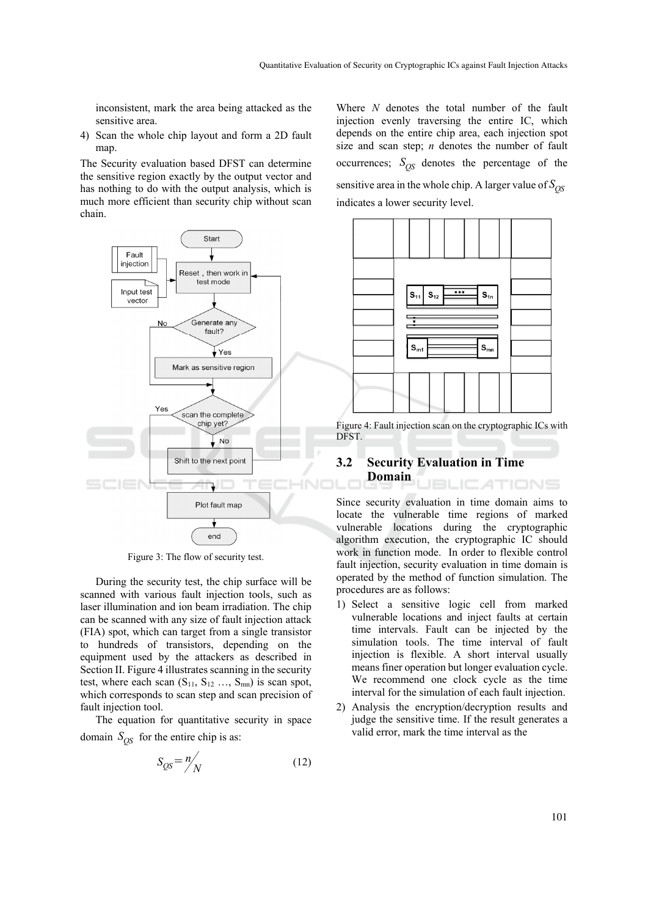inconsistent, mark the area being attacked as the sensitive area.

4) Scan the whole chip layout and form a 2D fault map.

The Security evaluation based DFST can determine the sensitive region exactly by the output vector and has nothing to do with the output analysis, which is much more efficient than security chip without scan chain.



Figure 3: The flow of security test.

During the security test, the chip surface will be scanned with various fault injection tools, such as laser illumination and ion beam irradiation. The chip can be scanned with any size of fault injection attack (FIA) spot, which can target from a single transistor to hundreds of transistors, depending on the equipment used by the attackers as described in Section II. Figure 4 illustrates scanning in the security test, where each scan  $(S_{11}, S_{12} \ldots, S_{mn})$  is scan spot, which corresponds to scan step and scan precision of fault injection tool.

The equation for quantitative security in space domain  $S_{OS}$  for the entire chip is as:

$$
S_{QS} = n \bigg/ N \tag{12}
$$

Where *N* denotes the total number of the fault injection evenly traversing the entire IC, which depends on the entire chip area, each injection spot size and scan step; *n* denotes the number of fault occurrences;  $S_{OS}$  denotes the percentage of the sensitive area in the whole chip. A larger value of  $S_{OS}$ indicates a lower security level.



Figure 4: Fault injection scan on the cryptographic ICs with DFST.

#### **3.2 Security Evaluation in Time Domain ICATIONS**

Since security evaluation in time domain aims to locate the vulnerable time regions of marked vulnerable locations during the cryptographic algorithm execution, the cryptographic IC should work in function mode. In order to flexible control fault injection, security evaluation in time domain is operated by the method of function simulation. The procedures are as follows:

- 1) Select a sensitive logic cell from marked vulnerable locations and inject faults at certain time intervals. Fault can be injected by the simulation tools. The time interval of fault injection is flexible. A short interval usually means finer operation but longer evaluation cycle. We recommend one clock cycle as the time interval for the simulation of each fault injection.
- 2) Analysis the encryption/decryption results and judge the sensitive time. If the result generates a valid error, mark the time interval as the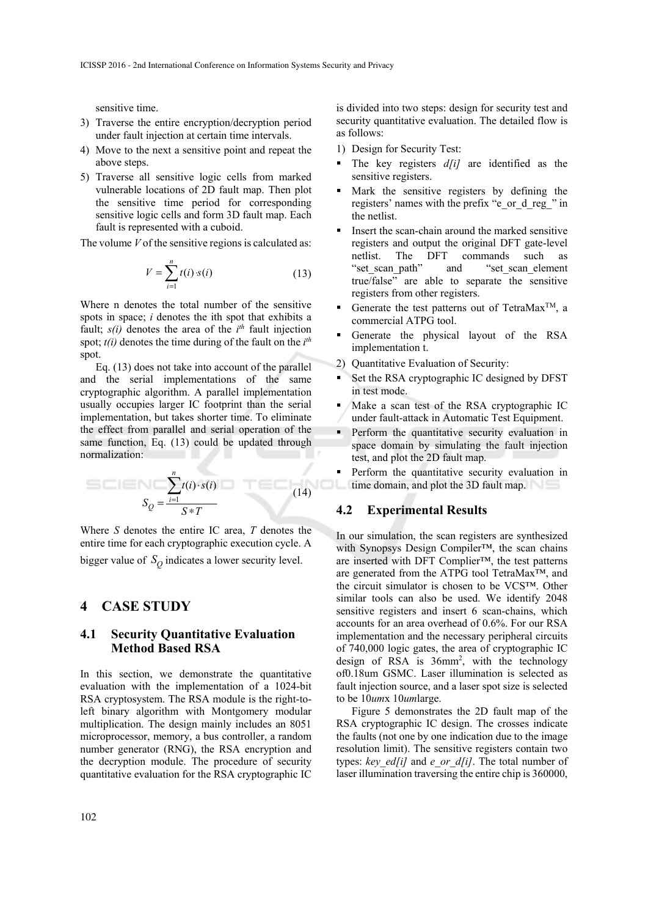sensitive time.

- 3) Traverse the entire encryption/decryption period under fault injection at certain time intervals.
- 4) Move to the next a sensitive point and repeat the above steps.
- 5) Traverse all sensitive logic cells from marked vulnerable locations of 2D fault map. Then plot the sensitive time period for corresponding sensitive logic cells and form 3D fault map. Each fault is represented with a cuboid.

The volume *V* of the sensitive regions is calculated as:

$$
V = \sum_{i=1}^{n} t(i) \cdot s(i)
$$
 (13)

Where n denotes the total number of the sensitive spots in space; *i* denotes the ith spot that exhibits a fault;  $s(i)$  denotes the area of the  $i<sup>th</sup>$  fault injection spot; *t(i)* denotes the time during of the fault on the *i th* spot.

Eq. (13) does not take into account of the parallel and the serial implementations of the same cryptographic algorithm. A parallel implementation usually occupies larger IC footprint than the serial implementation, but takes shorter time. To eliminate the effect from parallel and serial operation of the same function, Eq. (13) could be updated through normalization:

$$
S_Q = \frac{\sum_{i=1}^n t(i) \cdot s(i)}{S \cdot \mathcal{F}}
$$
 (14)

Where *S* denotes the entire IC area, *T* denotes the entire time for each cryptographic execution cycle. A bigger value of  $S_Q$  indicates a lower security level.

# **4 CASE STUDY**

### **4.1 Security Quantitative Evaluation Method Based RSA**

In this section, we demonstrate the quantitative evaluation with the implementation of a 1024-bit RSA cryptosystem. The RSA module is the right-toleft binary algorithm with Montgomery modular multiplication. The design mainly includes an 8051 microprocessor, memory, a bus controller, a random number generator (RNG), the RSA encryption and the decryption module. The procedure of security quantitative evaluation for the RSA cryptographic IC

is divided into two steps: design for security test and security quantitative evaluation. The detailed flow is as follows:

1) Design for Security Test:

- The key registers  $d[i]$  are identified as the sensitive registers.
- Mark the sensitive registers by defining the registers' names with the prefix "e\_or\_d\_reg\_" in the netlist.
- Insert the scan-chain around the marked sensitive registers and output the original DFT gate-level netlist. The DFT commands such as<br>"set\_scan\_path" and "set scan element and "set\_scan\_element true/false" are able to separate the sensitive registers from other registers.
- Generate the test patterns out of TetraMax<sup>TM</sup>, a commercial ATPG tool.
- Generate the physical layout of the RSA implementation t.
- 2) Quantitative Evaluation of Security:
- Set the RSA cryptographic IC designed by DFST in test mode.
- Make a scan test of the RSA cryptographic IC under fault-attack in Automatic Test Equipment.
- **Perform the quantitative security evaluation in** space domain by simulating the fault injection test, and plot the 2D fault map.
- Perform the quantitative security evaluation in **the domain, and plot the 3D fault map.**

#### **4.2 Experimental Results**

,

In our simulation, the scan registers are synthesized with Synopsys Design Compiler™, the scan chains are inserted with DFT Complier™, the test patterns are generated from the ATPG tool TetraMax™, and the circuit simulator is chosen to be VCS™. Other similar tools can also be used. We identify 2048 sensitive registers and insert 6 scan-chains, which accounts for an area overhead of 0.6%. For our RSA implementation and the necessary peripheral circuits of 740,000 logic gates, the area of cryptographic IC design of RSA is 36mm2 , with the technology of0.18um GSMC. Laser illumination is selected as fault injection source, and a laser spot size is selected to be 10*um*x 10*um*large.

Figure 5 demonstrates the 2D fault map of the RSA cryptographic IC design. The crosses indicate the faults (not one by one indication due to the image resolution limit). The sensitive registers contain two types: *key\_ed[i]* and *e\_or\_d[i]*. The total number of laser illumination traversing the entire chip is 360000,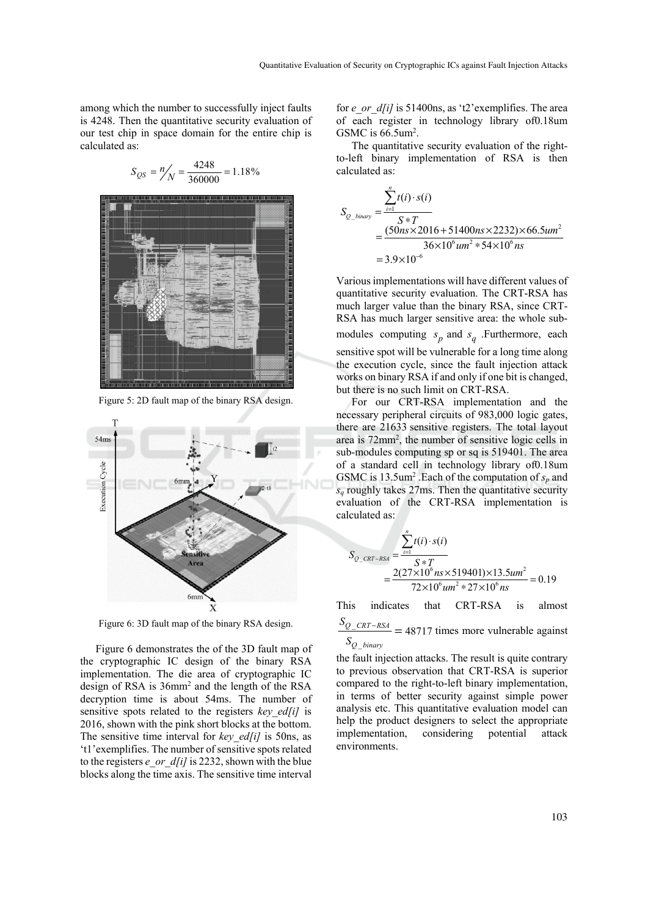among which the number to successfully inject faults is 4248. Then the quantitative security evaluation of our test chip in space domain for the entire chip is calculated as:

$$
S_{QS} = \frac{n}{N} = \frac{4248}{360000} = 1.18\%
$$



Figure 5: 2D fault map of the binary RSA design.



Figure 6: 3D fault map of the binary RSA design.

Figure 6 demonstrates the of the 3D fault map of the cryptographic IC design of the binary RSA implementation. The die area of cryptographic IC design of RSA is 36mm2 and the length of the RSA decryption time is about 54ms. The number of sensitive spots related to the registers *key ed[i]* is 2016, shown with the pink short blocks at the bottom. The sensitive time interval for *key ed[i]* is 50ns, as 't1'exemplifies. The number of sensitive spots related to the registers *e\_or\_d[i]* is 2232, shown with the blue blocks along the time axis. The sensitive time interval

for *e\_or\_d[i]* is 51400ns, as 't2' exemplifies. The area of each register in technology library of0.18um GSMC is  $66.5$ um<sup>2</sup>.

The quantitative security evaluation of the rightto-left binary implementation of RSA is then calculated as:

$$
S_{Q\_binary} = \frac{\sum_{i=1}^{n} t(i) \cdot s(i)}{S * T}
$$
  
= 
$$
\frac{(50ns \times 2016 + 51400ns \times 2232) \times 66.5um^2}{36 \times 10^6 um^2 * 54 \times 10^6 ns}
$$
  
= 
$$
3.9 \times 10^{-6}
$$

Various implementations will have different values of quantitative security evaluation. The CRT-RSA has much larger value than the binary RSA, since CRT-RSA has much larger sensitive area: the whole submodules computing  $s_p$  and  $s_q$  . Furthermore, each sensitive spot will be vulnerable for a long time along the execution cycle, since the fault injection attack works on binary RSA if and only if one bit is changed, but there is no such limit on CRT-RSA.

For our CRT-RSA implementation and the necessary peripheral circuits of 983,000 logic gates, there are 21633 sensitive registers. The total layout area is 72mm2 , the number of sensitive logic cells in sub-modules computing sp or sq is 519401. The area of a standard cell in technology library of0.18um GSMC is  $13.5$ um<sup>2</sup>. Each of the computation of  $s_p$  and  $s_q$  roughly takes 27ms. Then the quantitative security evaluation of the CRT-RSA implementation is calculated as:

$$
S_{Q\_CRT-RSA} = \frac{\sum_{i=1}^{n} t(i) \cdot s(i)}{S*T} = \frac{2(27 \times 10^6 n s \times 519401) \times 13.5 u m^2}{72 \times 10^6 n m^2 * 27 \times 10^6 n s} = 0.19
$$

This indicates that CRT-RSA is almost

 $S_{Q\_CRT-RSA}$  = 48717 times more vulnerable against \_ *Q binary S*

the fault injection attacks. The result is quite contrary to previous observation that CRT-RSA is superior compared to the right-to-left binary implementation, in terms of better security against simple power analysis etc. This quantitative evaluation model can help the product designers to select the appropriate implementation, considering potential attack environments.